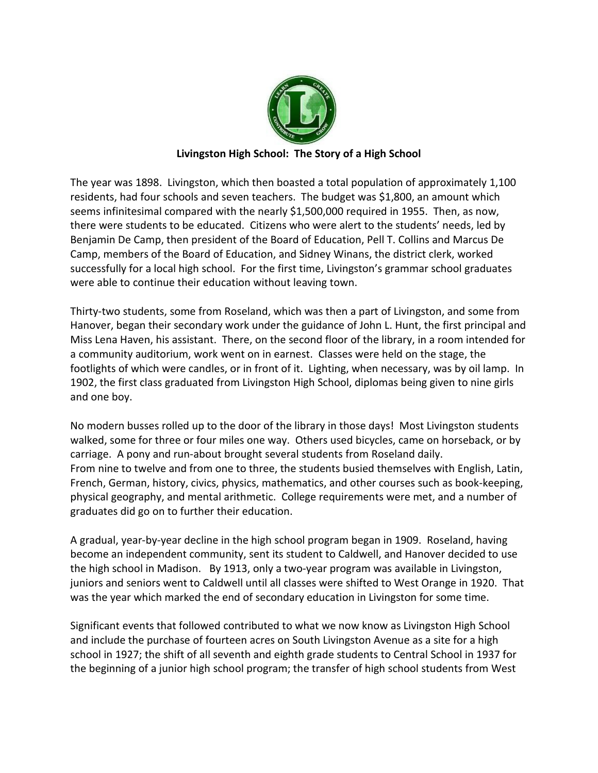

## **Livingston High School: The Story of a High School**

The year was 1898. Livingston, which then boasted a total population of approximately 1,100 residents, had four schools and seven teachers. The budget was \$1,800, an amount which seems infinitesimal compared with the nearly \$1,500,000 required in 1955. Then, as now, there were students to be educated. Citizens who were alert to the students' needs, led by Benjamin De Camp, then president of the Board of Education, Pell T. Collins and Marcus De Camp, members of the Board of Education, and Sidney Winans, the district clerk, worked successfully for a local high school. For the first time, Livingston's grammar school graduates were able to continue their education without leaving town.

Thirty-two students, some from Roseland, which was then a part of Livingston, and some from Hanover, began their secondary work under the guidance of John L. Hunt, the first principal and Miss Lena Haven, his assistant. There, on the second floor of the library, in a room intended for a community auditorium, work went on in earnest. Classes were held on the stage, the footlights of which were candles, or in front of it. Lighting, when necessary, was by oil lamp. In 1902, the first class graduated from Livingston High School, diplomas being given to nine girls and one boy.

No modern busses rolled up to the door of the library in those days! Most Livingston students walked, some for three or four miles one way. Others used bicycles, came on horseback, or by carriage. A pony and run-about brought several students from Roseland daily. From nine to twelve and from one to three, the students busied themselves with English, Latin, French, German, history, civics, physics, mathematics, and other courses such as book-keeping, physical geography, and mental arithmetic. College requirements were met, and a number of graduates did go on to further their education.

A gradual, year-by-year decline in the high school program began in 1909. Roseland, having become an independent community, sent its student to Caldwell, and Hanover decided to use the high school in Madison. By 1913, only a two-year program was available in Livingston, juniors and seniors went to Caldwell until all classes were shifted to West Orange in 1920. That was the year which marked the end of secondary education in Livingston for some time.

Significant events that followed contributed to what we now know as Livingston High School and include the purchase of fourteen acres on South Livingston Avenue as a site for a high school in 1927; the shift of all seventh and eighth grade students to Central School in 1937 for the beginning of a junior high school program; the transfer of high school students from West